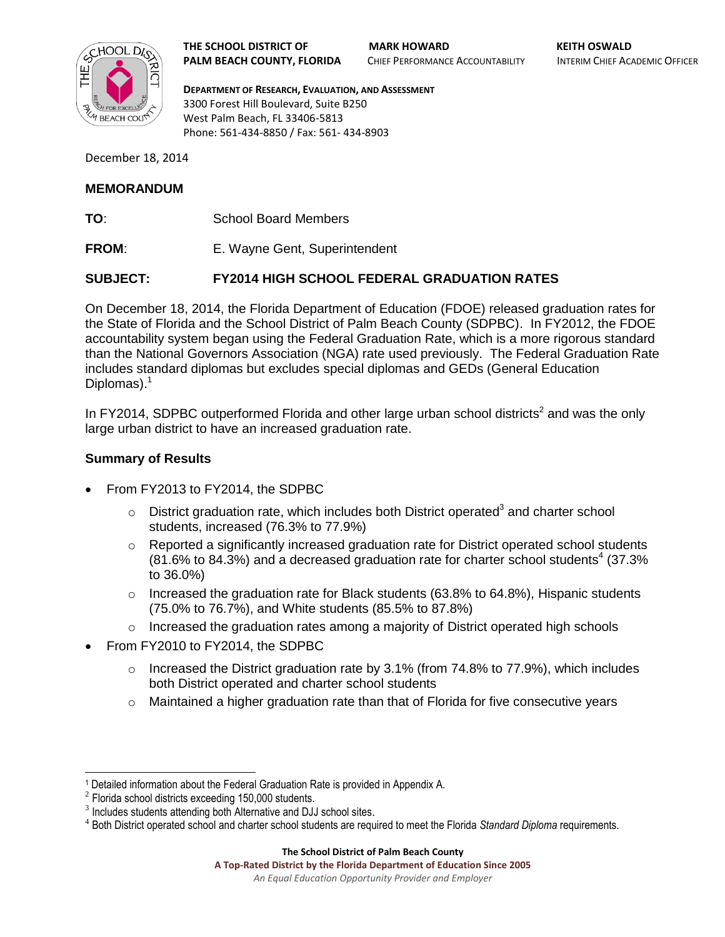

**THE SCHOOL DISTRICT OF MARK HOWARD KEITH OSWALD PALM BEACH COUNTY, FLORIDA** CHIEF PERFORMANCE ACCOUNTABILITY INTERIM CHIEF ACADEMIC OFFICER

**DEPARTMENT OF RESEARCH, EVALUATION, AND ASSESSMENT** 3300 Forest Hill Boulevard, Suite B250 West Palm Beach, FL 33406-5813 Phone: 561-434-8850 / Fax: 561- 434-8903

December 18, 2014

## **MEMORANDUM**

- **TO**: School Board Members
- **FROM:** E. Wayne Gent, Superintendent

## **SUBJECT: FY2014 HIGH SCHOOL FEDERAL GRADUATION RATES**

On December 18, 2014, the Florida Department of Education (FDOE) released graduation rates for the State of Florida and the School District of Palm Beach County (SDPBC). In FY2012, the FDOE accountability system began using the Federal Graduation Rate, which is a more rigorous standard than the National Governors Association (NGA) rate used previously. The Federal Graduation Rate includes standard diplomas but excludes special diplomas and GEDs (General Education Diplomas).<sup>1</sup>

In FY2014, SDPBC outperformed Florida and other large urban school districts<sup>2</sup> and was the only large urban district to have an increased graduation rate.

## **Summary of Results**

- From FY2013 to FY2014, the SDPBC
	- $\circ$  District graduation rate, which includes both District operated<sup>3</sup> and charter school students, increased (76.3% to 77.9%)
	- $\circ$  Reported a significantly increased graduation rate for District operated school students  $(81.6\%$  to  $84.3\%)$  and a decreased graduation rate for charter school students<sup>4</sup> (37.3%) to 36.0%)
	- $\circ$  Increased the graduation rate for Black students (63.8% to 64.8%), Hispanic students (75.0% to 76.7%), and White students (85.5% to 87.8%)
	- $\circ$  Increased the graduation rates among a majority of District operated high schools
- From FY2010 to FY2014, the SDPBC
	- $\circ$  Increased the District graduation rate by 3.1% (from 74.8% to 77.9%), which includes both District operated and charter school students
	- $\circ$  Maintained a higher graduation rate than that of Florida for five consecutive years

 $\overline{a}$ 

#### **The School District of Palm Beach County**

**A Top-Rated District by the Florida Department of Education Since 2005** *An Equal Education Opportunity Provider and Employer*

<sup>1</sup> Detailed information about the Federal Graduation Rate is provided in Appendix A.

 $2$  Florida school districts exceeding 150,000 students.

<sup>&</sup>lt;sup>3</sup> Includes students attending both Alternative and DJJ school sites.

<sup>4</sup> Both District operated school and charter school students are required to meet the Florida *Standard Diploma* requirements.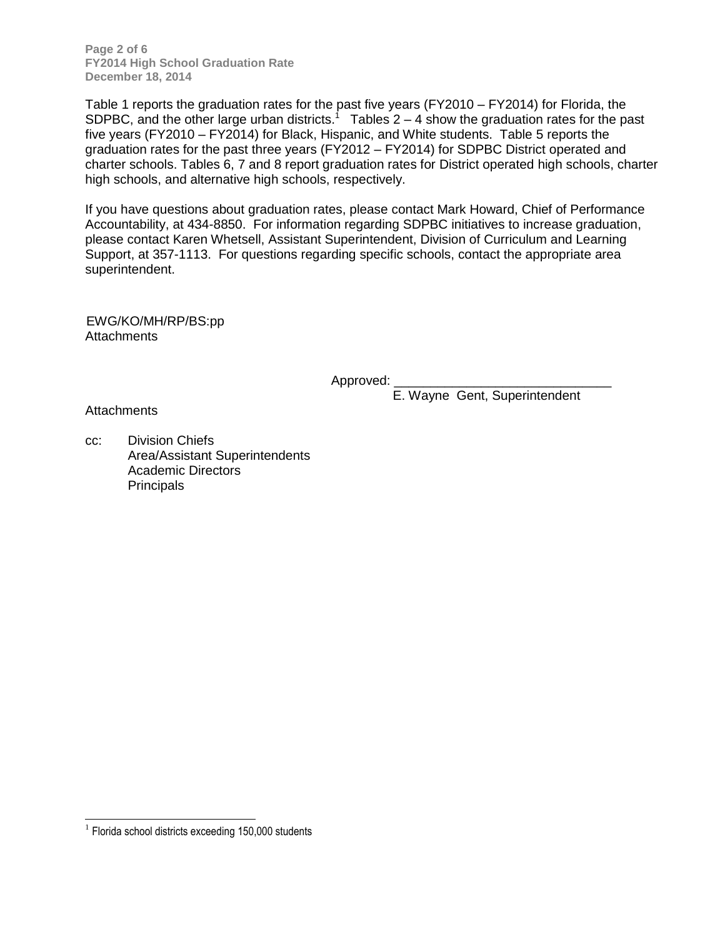**Page 2 of 6 FY2014 High School Graduation Rate December 18, 2014**

Table 1 reports the graduation rates for the past five years (FY2010 – FY2014) for Florida, the SDPBC, and the other large urban districts.<sup>1</sup> Tables 2 – 4 show the graduation rates for the past five years (FY2010 – FY2014) for Black, Hispanic, and White students. Table 5 reports the graduation rates for the past three years (FY2012 – FY2014) for SDPBC District operated and charter schools. Tables 6, 7 and 8 report graduation rates for District operated high schools, charter high schools, and alternative high schools, respectively.

If you have questions about graduation rates, please contact Mark Howard, Chief of Performance Accountability, at 434-8850. For information regarding SDPBC initiatives to increase graduation, please contact Karen Whetsell, Assistant Superintendent, Division of Curriculum and Learning Support, at 357-1113. For questions regarding specific schools, contact the appropriate area superintendent.

EWG/KO/MH/RP/BS:pp **Attachments** 

Approved:

E. Wayne Gent, Superintendent

**Attachments** 

cc: Division Chiefs Area/Assistant Superintendents Academic Directors **Principals** 

 $\overline{a}$ 

<sup>&</sup>lt;sup>1</sup> Florida school districts exceeding 150,000 students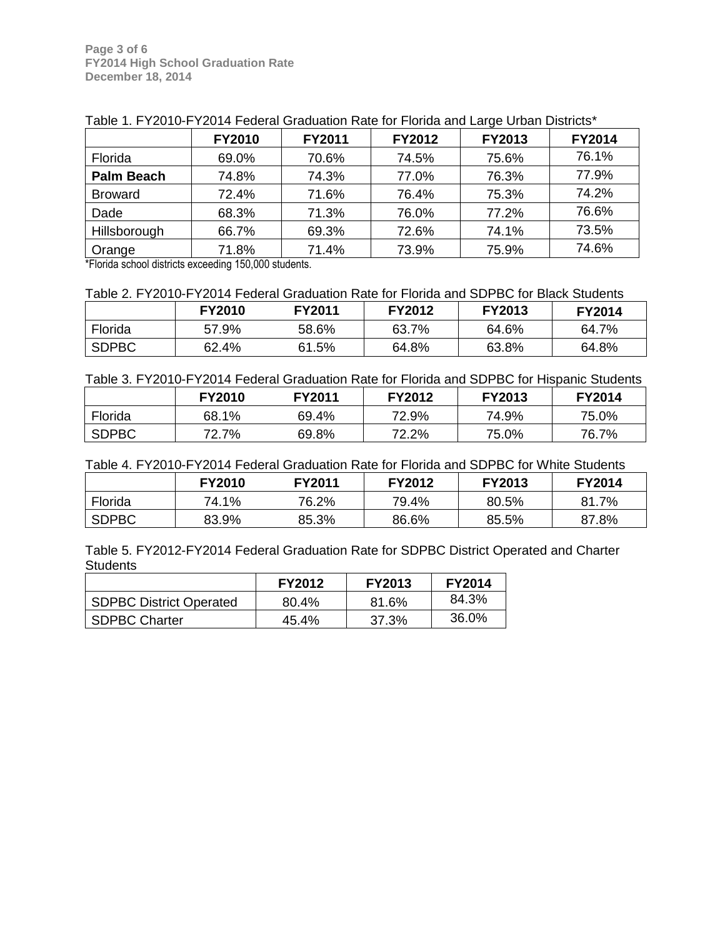|                   | <b>FY2010</b> | FY2011 | FY2012 | <b>FY2013</b> | <b>FY2014</b> |
|-------------------|---------------|--------|--------|---------------|---------------|
| Florida           | 69.0%         | 70.6%  | 74.5%  | 75.6%         | 76.1%         |
| <b>Palm Beach</b> | 74.8%         | 74.3%  | 77.0%  | 76.3%         | 77.9%         |
| <b>Broward</b>    | 72.4%         | 71.6%  | 76.4%  | 75.3%         | 74.2%         |
| Dade              | 68.3%         | 71.3%  | 76.0%  | 77.2%         | 76.6%         |
| Hillsborough      | 66.7%         | 69.3%  | 72.6%  | 74.1%         | 73.5%         |
| Orange            | 71.8%         | 71.4%  | 73.9%  | 75.9%         | 74.6%         |

| Table 1. FY2010-FY2014 Federal Graduation Rate for Florida and Large Urban Districts* |  |  |  |
|---------------------------------------------------------------------------------------|--|--|--|

\*Florida school districts exceeding 150,000 students.

Table 2. FY2010-FY2014 Federal Graduation Rate for Florida and SDPBC for Black Students

|              | <b>FY2010</b> | <b>FY2011</b> | <b>FY2012</b> | <b>FY2013</b> | <b>FY2014</b> |
|--------------|---------------|---------------|---------------|---------------|---------------|
| Florida      | 57.9%         | 58.6%         | 63.7%         | 64.6%         | 64.7%         |
| <b>SDPBC</b> | 62.4%         | 61.5%         | 64.8%         | 63.8%         | 64.8%         |

Table 3. FY2010-FY2014 Federal Graduation Rate for Florida and SDPBC for Hispanic Students

|              | <b>FY2010</b> | <b>FY2011</b> | FY2012 | <b>FY2013</b> | <b>FY2014</b> |
|--------------|---------------|---------------|--------|---------------|---------------|
| Florida      | 68.1%         | 69.4%         | 72.9%  | 74.9%         | 75.0%         |
| <b>SDPBC</b> | 72.7%         | 69.8%         | 72.2%  | 75.0%         | 76.7%         |

Table 4. FY2010-FY2014 Federal Graduation Rate for Florida and SDPBC for White Students

|              | FY2010 | <b>FY2011</b> | <b>FY2012</b> | <b>FY2013</b> | <b>FY2014</b> |
|--------------|--------|---------------|---------------|---------------|---------------|
| Florida      | 74.1%  | 76.2%         | 79.4%         | 80.5%         | 81.7%         |
| <b>SDPBC</b> | 83.9%  | 85.3%         | 86.6%         | 85.5%         | 87.8%         |

Table 5. FY2012-FY2014 Federal Graduation Rate for SDPBC District Operated and Charter **Students** 

|                                | <b>FY2012</b> | <b>FY2013</b> | <b>FY2014</b> |
|--------------------------------|---------------|---------------|---------------|
| <b>SDPBC District Operated</b> | 80.4%         | 81.6%         | 84.3%         |
| <b>SDPBC Charter</b>           | $45.4\%$      | 37.3%         | 36.0%         |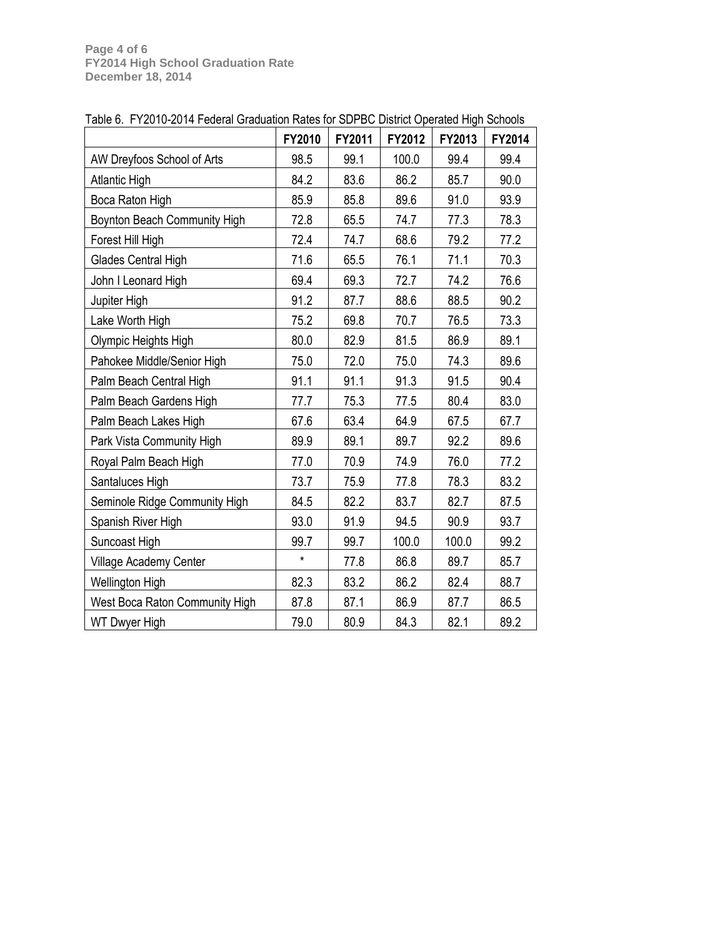|                                | FY2010  | FY2011 | FY2012 | FY2013 | FY2014 |
|--------------------------------|---------|--------|--------|--------|--------|
| AW Dreyfoos School of Arts     | 98.5    | 99.1   | 100.0  | 99.4   | 99.4   |
| <b>Atlantic High</b>           | 84.2    | 83.6   | 86.2   | 85.7   | 90.0   |
| Boca Raton High                | 85.9    | 85.8   | 89.6   | 91.0   | 93.9   |
| Boynton Beach Community High   | 72.8    | 65.5   | 74.7   | 77.3   | 78.3   |
| Forest Hill High               | 72.4    | 74.7   | 68.6   | 79.2   | 77.2   |
| Glades Central High            | 71.6    | 65.5   | 76.1   | 71.1   | 70.3   |
| John I Leonard High            | 69.4    | 69.3   | 72.7   | 74.2   | 76.6   |
| Jupiter High                   | 91.2    | 87.7   | 88.6   | 88.5   | 90.2   |
| Lake Worth High                | 75.2    | 69.8   | 70.7   | 76.5   | 73.3   |
| Olympic Heights High           | 80.0    | 82.9   | 81.5   | 86.9   | 89.1   |
| Pahokee Middle/Senior High     | 75.0    | 72.0   | 75.0   | 74.3   | 89.6   |
| Palm Beach Central High        | 91.1    | 91.1   | 91.3   | 91.5   | 90.4   |
| Palm Beach Gardens High        | 77.7    | 75.3   | 77.5   | 80.4   | 83.0   |
| Palm Beach Lakes High          | 67.6    | 63.4   | 64.9   | 67.5   | 67.7   |
| Park Vista Community High      | 89.9    | 89.1   | 89.7   | 92.2   | 89.6   |
| Royal Palm Beach High          | 77.0    | 70.9   | 74.9   | 76.0   | 77.2   |
| Santaluces High                | 73.7    | 75.9   | 77.8   | 78.3   | 83.2   |
| Seminole Ridge Community High  | 84.5    | 82.2   | 83.7   | 82.7   | 87.5   |
| Spanish River High             | 93.0    | 91.9   | 94.5   | 90.9   | 93.7   |
| Suncoast High                  | 99.7    | 99.7   | 100.0  | 100.0  | 99.2   |
| Village Academy Center         | $\star$ | 77.8   | 86.8   | 89.7   | 85.7   |
| Wellington High                | 82.3    | 83.2   | 86.2   | 82.4   | 88.7   |
| West Boca Raton Community High | 87.8    | 87.1   | 86.9   | 87.7   | 86.5   |
| <b>WT Dwyer High</b>           | 79.0    | 80.9   | 84.3   | 82.1   | 89.2   |

Table 6. FY2010-2014 Federal Graduation Rates for SDPBC District Operated High Schools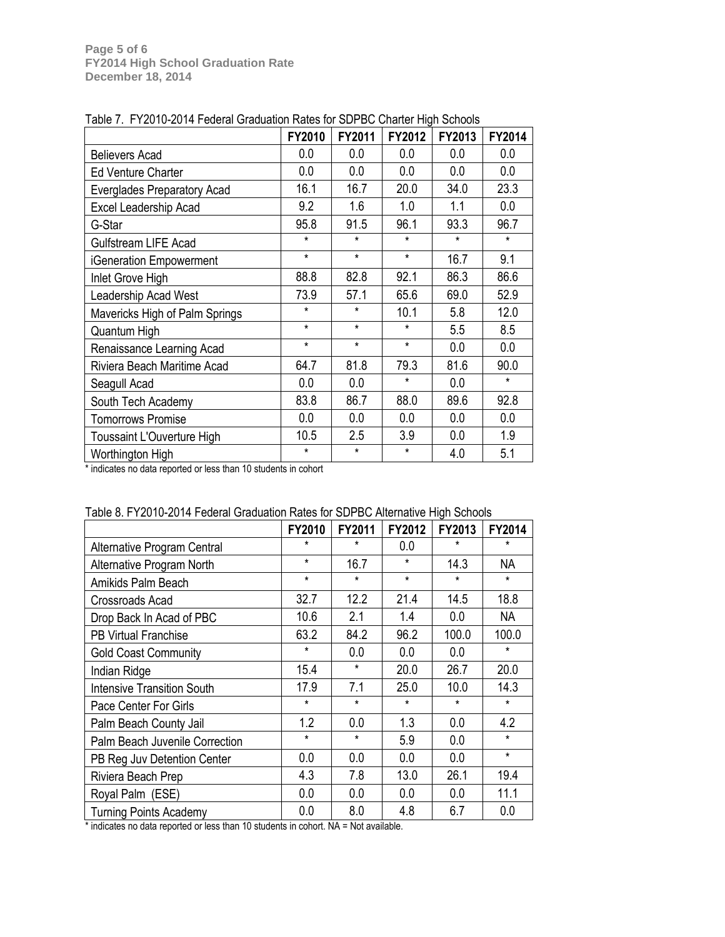|                                | FY2010  | FY2011  | FY2012  | FY2013  | FY2014  |
|--------------------------------|---------|---------|---------|---------|---------|
| <b>Believers Acad</b>          | 0.0     | 0.0     | 0.0     | 0.0     | 0.0     |
| <b>Ed Venture Charter</b>      | 0.0     | 0.0     | 0.0     | 0.0     | 0.0     |
| Everglades Preparatory Acad    | 16.1    | 16.7    | 20.0    | 34.0    | 23.3    |
| Excel Leadership Acad          | 9.2     | 1.6     | 1.0     | 1.1     | 0.0     |
| G-Star                         | 95.8    | 91.5    | 96.1    | 93.3    | 96.7    |
| <b>Gulfstream LIFE Acad</b>    | $\star$ | $\star$ | $\star$ | $\star$ | $\star$ |
| iGeneration Empowerment        | $\star$ | $\star$ | $\star$ | 16.7    | 9.1     |
| Inlet Grove High               | 88.8    | 82.8    | 92.1    | 86.3    | 86.6    |
| Leadership Acad West           | 73.9    | 57.1    | 65.6    | 69.0    | 52.9    |
| Mavericks High of Palm Springs | $\star$ | $\star$ | 10.1    | 5.8     | 12.0    |
| Quantum High                   | $\star$ | $\star$ | $\star$ | 5.5     | 8.5     |
| Renaissance Learning Acad      | $\star$ | $\star$ | $\star$ | 0.0     | 0.0     |
| Riviera Beach Maritime Acad    | 64.7    | 81.8    | 79.3    | 81.6    | 90.0    |
| Seagull Acad                   | 0.0     | 0.0     | $\star$ | 0.0     | $\star$ |
| South Tech Academy             | 83.8    | 86.7    | 88.0    | 89.6    | 92.8    |
| <b>Tomorrows Promise</b>       | 0.0     | 0.0     | 0.0     | 0.0     | 0.0     |
| Toussaint L'Ouverture High     | 10.5    | 2.5     | 3.9     | 0.0     | 1.9     |
| Worthington High               | *       | *       | *       | 4.0     | 5.1     |

Table 7. FY2010-2014 Federal Graduation Rates for SDPBC Charter High Schools

\* indicates no data reported or less than 10 students in cohort

|                                   | <b>FY2010</b> | FY2011  | FY2012  | FY2013  | FY2014    |
|-----------------------------------|---------------|---------|---------|---------|-----------|
| Alternative Program Central       | $\star$       | $\star$ | 0.0     | $\star$ | *         |
| Alternative Program North         | $\star$       | 16.7    | $\star$ | 14.3    | NА        |
| Amikids Palm Beach                | $\star$       | $\star$ | $\star$ | $\star$ | $\star$   |
| <b>Crossroads Acad</b>            | 32.7          | 12.2    | 21.4    | 14.5    | 18.8      |
| Drop Back In Acad of PBC          | 10.6          | 2.1     | 1.4     | 0.0     | <b>NA</b> |
| PB Virtual Franchise              | 63.2          | 84.2    | 96.2    | 100.0   | 100.0     |
| <b>Gold Coast Community</b>       | $\star$       | 0.0     | 0.0     | 0.0     | $\star$   |
| Indian Ridge                      | 15.4          | $\star$ | 20.0    | 26.7    | 20.0      |
| <b>Intensive Transition South</b> | 17.9          | 7.1     | 25.0    | 10.0    | 14.3      |
| Pace Center For Girls             | $\star$       | $\star$ | $\star$ | $\star$ | $\star$   |
| Palm Beach County Jail            | 1.2           | 0.0     | 1.3     | 0.0     | 4.2       |
| Palm Beach Juvenile Correction    | $\star$       | $\star$ | 5.9     | 0.0     | $\star$   |
| PB Reg Juv Detention Center       | 0.0           | 0.0     | 0.0     | 0.0     | $\star$   |
| Riviera Beach Prep                | 4.3           | 7.8     | 13.0    | 26.1    | 19.4      |
| Royal Palm (ESE)                  | 0.0           | 0.0     | 0.0     | 0.0     | 11.1      |
| <b>Turning Points Academy</b>     | 0.0           | 8.0     | 4.8     | 6.7     | 0.0       |

Table 8. FY2010-2014 Federal Graduation Rates for SDPBC Alternative High Schools

\* indicates no data reported or less than 10 students in cohort. NA = Not available.